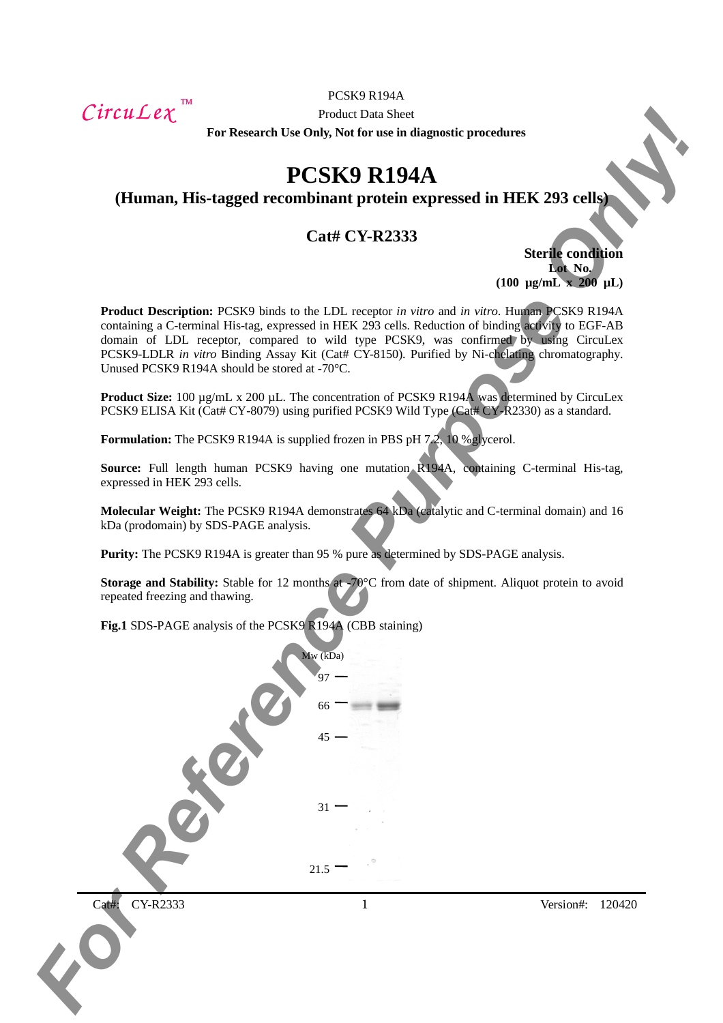$CircuLex$ <sup>TM</sup>

PCSK9 R194A

Product Data Sheet **For Research Use Only, Not for use in diagnostic procedures** 

# **PCSK9 R194A**

**(Human, His-tagged recombinant protein expressed in HEK 293 cells)** 

## **Cat# CY-R2333**

**Sterile condition**  Lot No. **(100 µg/mL x 200 µL)** 

**Product Description:** PCSK9 binds to the LDL receptor *in vitro* and *in vitro*. Human PCSK9 R194A containing a C-terminal His-tag, expressed in HEK 293 cells. Reduction of binding activity to EGF-AB domain of LDL receptor, compared to wild type PCSK9, was confirmed by using CircuLex PCSK9-LDLR *in vitro* Binding Assay Kit (Cat# CY-8150). Purified by Ni-chelating chromatography. Unused PCSK9 R194A should be stored at -70°C.

**Product Size:** 100 µg/mL x 200 µL. The concentration of PCSK9 R194A was determined by CircuLex PCSK9 ELISA Kit (Cat# CY-8079) using purified PCSK9 Wild Type (Cat# CY-R2330) as a standard.

**Formulation:** The PCSK9 R194A is supplied frozen in PBS pH 7.2, 10 %glycerol.

**Source:** Full length human PCSK9 having one mutation R194A, containing C-terminal His-tag, expressed in HEK 293 cells.

**Molecular Weight:** The PCSK9 R194A demonstrates 64 kDa (catalytic and C-terminal domain) and 16 kDa (prodomain) by SDS-PAGE analysis.

**Purity:** The PCSK9 R194A is greater than 95 % pure as determined by SDS-PAGE analysis.

**Storage and Stability:** Stable for 12 months at -70°C from date of shipment. Aliquot protein to avoid repeated freezing and thawing.

**Fig.1** SDS-PAGE analysis of the PCSK9 R194A (CBB staining)

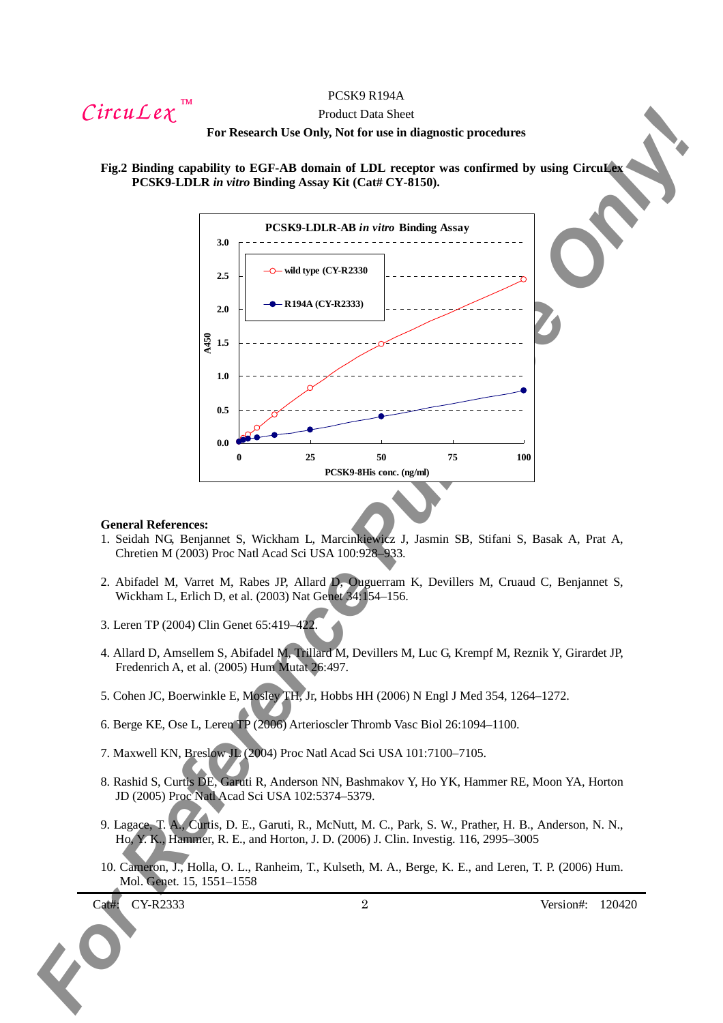$CircuLex$ <sup>TM</sup>

#### PCSK9 R194A

## Product Data Sheet

#### **For Research Use Only, Not for use in diagnostic procedures**

**Fig.2 Binding capability to EGF-AB domain of LDL receptor was confirmed by using CircuLex PCSK9-LDLR** *in vitro* **Binding Assay Kit (Cat# CY-8150).** 



#### **General References:**

- 1. Seidah NG, Benjannet S, Wickham L, Marcinkiewicz J, Jasmin SB, Stifani S, Basak A, Prat A, Chretien M (2003) Proc Natl Acad Sci USA 100:928–933.
- 2. Abifadel M, Varret M, Rabes JP, Allard D, Ouguerram K, Devillers M, Cruaud C, Benjannet S, Wickham L, Erlich D, et al. (2003) Nat Genet 34:154–156.
- 3. Leren TP (2004) Clin Genet 65:419-
- 4. Allard D, Amsellem S, Abifadel M, Trillard M, Devillers M, Luc G, Krempf M, Reznik Y, Girardet JP, Fredenrich A, et al. (2005) Hum Mutat 26:497.
- 5. Cohen JC, Boerwinkle E, Mosley TH, Jr, Hobbs HH (2006) N Engl J Med 354, 1264–1272.
- 6. Berge KE, Ose L, Leren TP (2006) Arterioscler Thromb Vasc Biol 26:1094–1100.
- 7. Maxwell KN, Breslow JL (2004) Proc Natl Acad Sci USA 101:7100–7105.
- 8. Rashid S, Curtis DE, Garuti R, Anderson NN, Bashmakov Y, Ho YK, Hammer RE, Moon YA, Horton JD (2005) Proc Natl Acad Sci USA 102:5374–5379.
- 9. Lagace, T. A., Curtis, D. E., Garuti, R., McNutt, M. C., Park, S. W., Prather, H. B., Anderson, N. N., Ho, Y. K., Hammer, R. E., and Horton, J. D. (2006) J. Clin. Investig. 116, 2995–3005
- 10. Cameron, J., Holla, O. L., Ranheim, T., Kulseth, M. A., Berge, K. E., and Leren, T. P. (2006) Hum. Mol. Genet. 15, 1551–1558